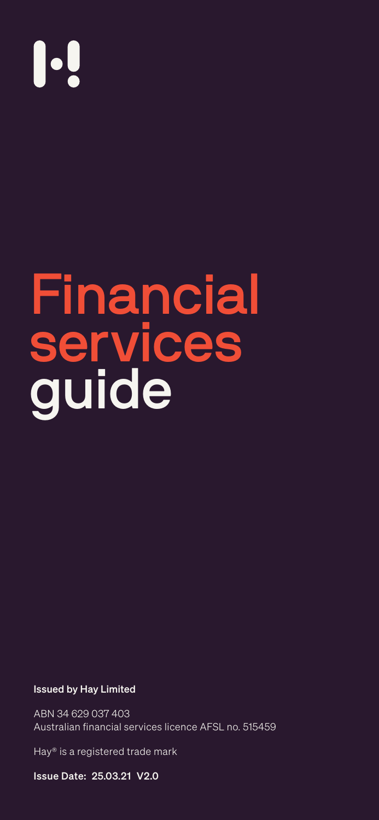#### Issued by Hay Limited

ABN 34 629 037 403 Australian financial services licence AFSL no. 515459

Hay® is a registered trade mark

Issue Date: 25.03.21 V2.0

# 

Financial

# services guide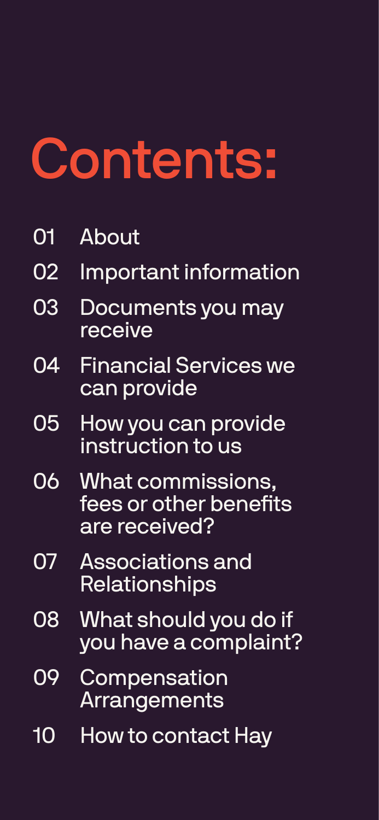# <span id="page-1-0"></span>Contents:

#### 01 [About](#page-2-0)

- 02 [Important information](#page-2-0)
- 

#### 03 [Documents you may](#page-3-0) [receive](#page-3-0)

08 What should you do if you have a complaint?

- 04 [Financial Services we](#page-3-0)  [can provide](#page-3-0)
- [05](#page-3-0) How you can provide instruction to us
- 06 What commissions, [fees or other benefits](#page-4-0)  [are received?](#page-4-0)
- 07 Associations and Relationships

09 [Compensation](#page-6-0)  [Arrangements](#page-6-0)

10 How to contact Hay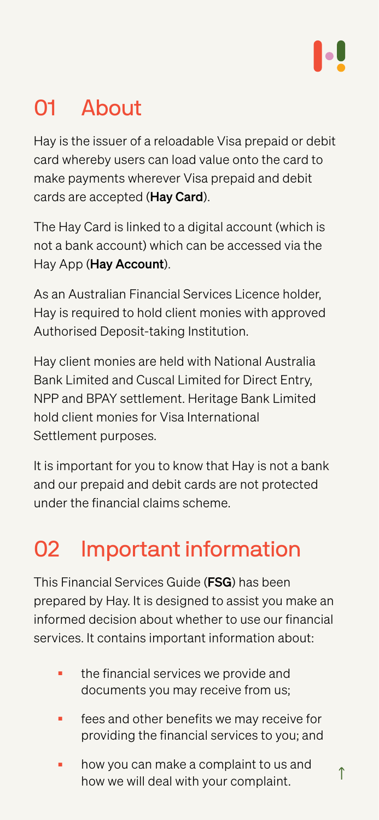### <span id="page-2-0"></span>**About**

[↑](#page-1-0)

Hay is the issuer of a reloadable Visa prepaid or debit card whereby users can load value onto the card to make payments wherever Visa prepaid and debit cards are accepted (Hay Card).

The Hay Card is linked to a digital account (which is not a bank account) which can be accessed via the Hay App (Hay Account).

As an Australian Financial Services Licence holder,

Hay is required to hold client monies with approved Authorised Deposit-taking Institution.

Hay client monies are held with National Australia Bank Limited and Cuscal Limited for Direct Entry, NPP and BPAY settlement. Heritage Bank Limited hold client monies for Visa International Settlement purposes.

- the financial services we provide and documents you may receive from us;
- fees and other benefits we may receive for providing the financial services to you; and
- how you can make a complaint to us and how we will deal with your complaint.

It is important for you to know that Hay is not a bank and our prepaid and debit cards are not protected under the financial claims scheme.

### 02 Important information

This Financial Services Guide (FSG) has been prepared by Hay. It is designed to assist you make an informed decision about whether to use our financial services. It contains important information about: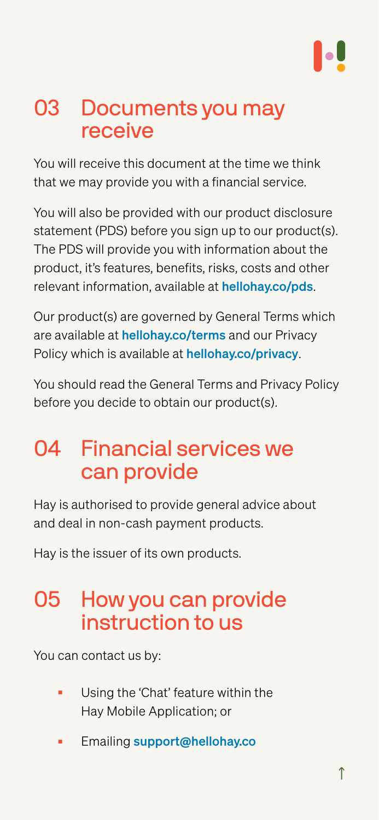#### <span id="page-3-0"></span>03 Documents you may receive

You will also be provided with our product disclosure statement (PDS) before you sign up to our product(s). The PDS will provide you with information about the product, it's features, benefits, risks, costs and other relevant information, available at [hellohay.co/pds](https://hellohay.co/pds).

You will receive this document at the time we think that we may provide you with a financial service.

Our product(s) are governed by General Terms which are available at [hellohay.co/terms](http://hellohay.co/terms) and our Privacy Policy which is available at **[hellohay.co/privacy](http://hellohay.co/privacy)**.

#### How you can provide instruction to us

You should read the General Terms and Privacy Policy before you decide to obtain our product(s).

### 04 Financial services we can provide

Hay is authorised to provide general advice about and deal in non-cash payment products.

Hay is the issuer of its own products.

You can contact us by:

- Using the 'Chat' feature within the Hay Mobile Application; or
- **Emailing [support@hellohay.co](mailto:support%40hellohay.co?subject=)**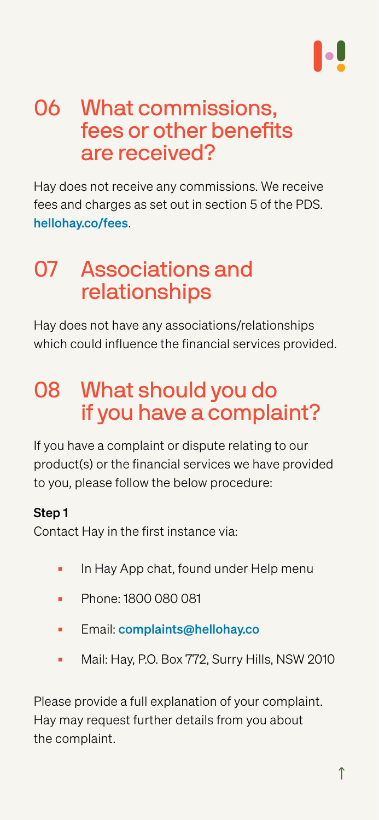### <span id="page-4-0"></span>06 What commissions, fees or other benefits are received?

Hay does not receive any commissions. We receive fees and charges as set out in section 5 of the PDS. [hellohay.co/fees](http://hellohay.co/fees).

#### 07 Associations and relationships

Hay does not have any associations/relationships which could influence the financial services provided.

# 08 What should you do if you have a complaint?

If you have a complaint or dispute relating to our product(s) or the financial services we have provided to you, please follow the below procedure:

#### Step 1

Contact Hay in the first instance via:

- In Hay App chat, found under Help menu
- Phone: 1800 080 081
- Email: [complaints@hellohay.co](mailto:complaints%40hellohay.co?subject=)
- Mail: Hay, P.O. Box 772, Surry Hills, NSW 2010

Please provide a full explanation of your complaint. Hay may request further details from you about the complaint.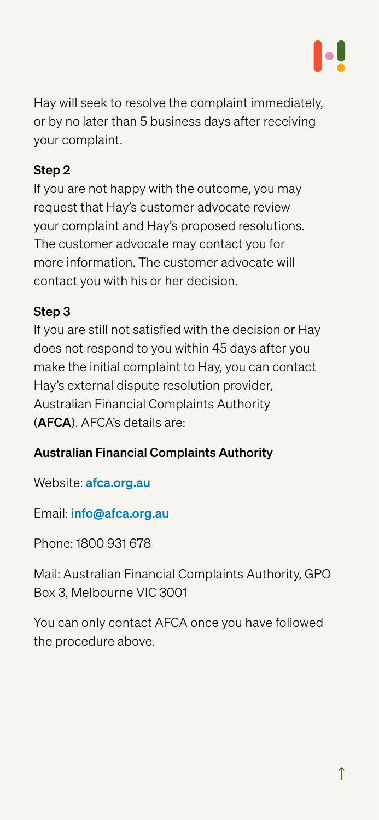Hay will seek to resolve the complaint immediately, or by no later than 5 business days after receiving your complaint.

#### Step 2

If you are not happy with the outcome, you may request that Hay's customer advocate review your complaint and Hay's proposed resolutions. The customer advocate may contact you for more information. The customer advocate will contact you with his or her decision.

#### Step 3

If you are still not satisfied with the decision or Hay does not respond to you within 45 days after you make the initial complaint to Hay, you can contact Hay's external dispute resolution provider, Australian Financial Complaints Authority (AFCA). AFCA's details are:

#### Australian Financial Complaints Authority

Website: [afca.org.au](https://afca.org.au/)

Email: [info@afca.org.au](mailto:info%40afca.org.au?subject=)

Phone: 1800 931 678

Mail: Australian Financial Complaints Authority, GPO Box 3, Melbourne VIC 3001

You can only contact AFCA once you have followed the procedure above.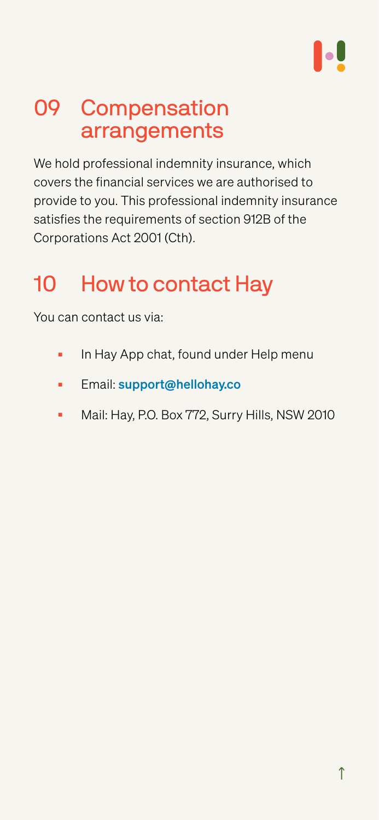

# <span id="page-6-0"></span>09 Compensation arrangements

We hold professional indemnity insurance, which covers the financial services we are authorised to provide to you. This professional indemnity insurance satisfies the requirements of section 912B of the Corporations Act 2001 (Cth).

# 10 How to contact Hay

#### You can contact us via:

- In Hay App chat, found under Help menu
- Email: support[@hellohay.co](mailto:support%40hellohay.co?subject=)
- Mail: Hay, P.O. Box 772, Surry Hills, NSW 2010